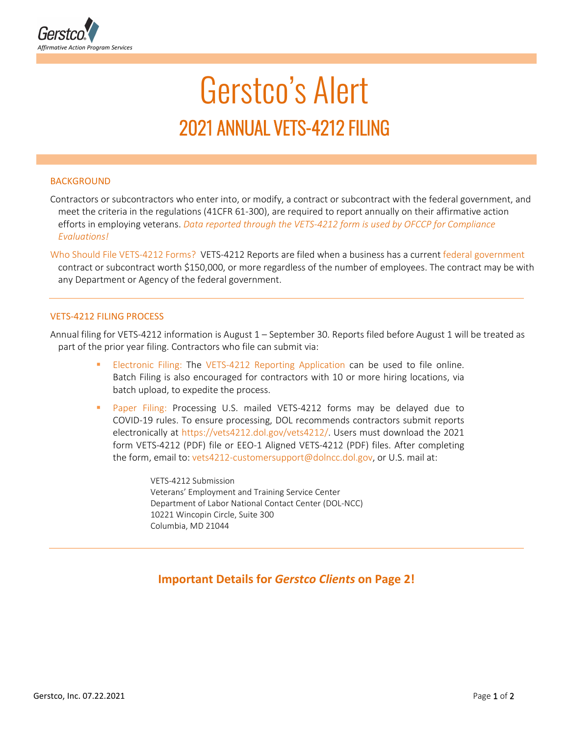

# Gerstco's Alert 2021 ANNUAL VETS-4212 FILING

## **BACKGROUND**

Contractors or subcontractors who enter into, or modify, a contract or subcontract with the federal government, and meet the criteria in the regulations (41CFR 61-300), are required to report annually on their affirmative action efforts in employing veterans. *Data reported through the VETS-4212 form is used by OFCCP for Compliance Evaluations!*

Who Should File VETS-4212 Forms? VETS-4212 Reports are filed when a business has a current federal government contract or subcontract worth \$150,000, or more regardless of the number of employees. The contract may be with any Department or Agency of the federal government.

## VETS-4212 FILING PROCESS

Annual filing for VETS-4212 information is August 1 – September 30. Reports filed before August 1 will be treated as part of the prior year filing. Contractors who file can submit via:

- Electronic Filing: The VETS-4212 Reporting Application can be used to file online. Batch Filing is also encouraged for contractors with 10 or more hiring locations, via batch upload, to expedite the process.
- Paper Filing: Processing U.S. mailed VETS-4212 forms may be delayed due to COVID-19 rules. To ensure processing, DOL recommends contractors submit reports electronically at https://vets4212.dol.gov/vets4212/. Users must download the 2021 form VETS-4212 (PDF) file or EEO-1 Aligned VETS-4212 (PDF) files. After completing the form, email to: vets4212-customersupport@dolncc.dol.gov, or U.S. mail at:

VETS-4212 Submission Veterans' Employment and Training Service Center Department of Labor National Contact Center (DOL-NCC) 10221 Wincopin Circle, Suite 300 Columbia, MD 21044

## **Important Details for** *Gerstco Clients* **on Page 2!**